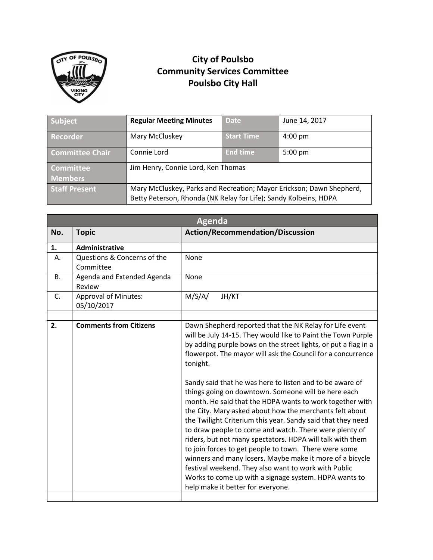

## **City of Poulsbo Community Services Committee Poulsbo City Hall**

| Subject                | <b>Regular Meeting Minutes</b>                                                                                                           | <b>Date</b>       | June 14, 2017     |
|------------------------|------------------------------------------------------------------------------------------------------------------------------------------|-------------------|-------------------|
| <b>Recorder</b>        | Mary McCluskey                                                                                                                           | <b>Start Time</b> | $4:00 \text{ pm}$ |
| <b>Committee Chair</b> | Connie Lord                                                                                                                              | <b>End time</b>   | $5:00 \text{ pm}$ |
| <b>Committee</b>       | Jim Henry, Connie Lord, Ken Thomas                                                                                                       |                   |                   |
| <b>Members</b>         |                                                                                                                                          |                   |                   |
| <b>Staff Present</b>   | Mary McCluskey, Parks and Recreation; Mayor Erickson; Dawn Shepherd,<br>Betty Peterson, Rhonda (NK Relay for Life); Sandy Kolbeins, HDPA |                   |                   |

|                | <b>Agenda</b>                             |                                                                                                                                                                                                                                                                                                                                                                                                                                                                                                                                                                                      |  |  |  |
|----------------|-------------------------------------------|--------------------------------------------------------------------------------------------------------------------------------------------------------------------------------------------------------------------------------------------------------------------------------------------------------------------------------------------------------------------------------------------------------------------------------------------------------------------------------------------------------------------------------------------------------------------------------------|--|--|--|
| No.            | <b>Topic</b>                              | <b>Action/Recommendation/Discussion</b>                                                                                                                                                                                                                                                                                                                                                                                                                                                                                                                                              |  |  |  |
| 1.             | Administrative                            |                                                                                                                                                                                                                                                                                                                                                                                                                                                                                                                                                                                      |  |  |  |
| А.             | Questions & Concerns of the<br>Committee  | None                                                                                                                                                                                                                                                                                                                                                                                                                                                                                                                                                                                 |  |  |  |
| В.             | Agenda and Extended Agenda<br>Review      | None                                                                                                                                                                                                                                                                                                                                                                                                                                                                                                                                                                                 |  |  |  |
| $\mathsf{C}$ . | <b>Approval of Minutes:</b><br>05/10/2017 | M/S/A/<br>JH/KT                                                                                                                                                                                                                                                                                                                                                                                                                                                                                                                                                                      |  |  |  |
|                |                                           |                                                                                                                                                                                                                                                                                                                                                                                                                                                                                                                                                                                      |  |  |  |
|                |                                           | Dawn Shepherd reported that the NK Relay for Life event<br>will be July 14-15. They would like to Paint the Town Purple<br>by adding purple bows on the street lights, or put a flag in a<br>flowerpot. The mayor will ask the Council for a concurrence<br>tonight.<br>Sandy said that he was here to listen and to be aware of<br>things going on downtown. Someone will be here each                                                                                                                                                                                              |  |  |  |
|                |                                           | month. He said that the HDPA wants to work together with<br>the City. Mary asked about how the merchants felt about<br>the Twilight Criterium this year. Sandy said that they need<br>to draw people to come and watch. There were plenty of<br>riders, but not many spectators. HDPA will talk with them<br>to join forces to get people to town. There were some<br>winners and many losers. Maybe make it more of a bicycle<br>festival weekend. They also want to work with Public<br>Works to come up with a signage system. HDPA wants to<br>help make it better for everyone. |  |  |  |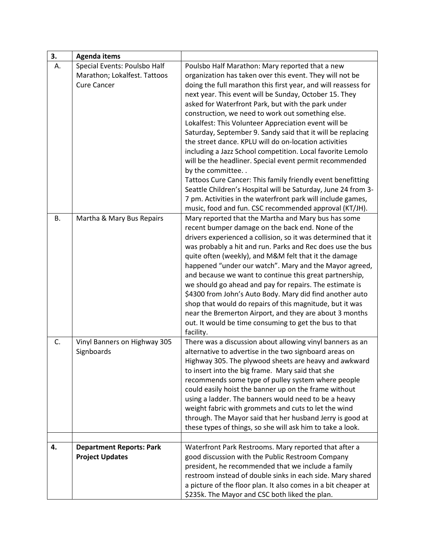| 3. | <b>Agenda items</b>             |                                                                                                                 |
|----|---------------------------------|-----------------------------------------------------------------------------------------------------------------|
| А. | Special Events: Poulsbo Half    | Poulsbo Half Marathon: Mary reported that a new                                                                 |
|    | Marathon; Lokalfest. Tattoos    | organization has taken over this event. They will not be                                                        |
|    | <b>Cure Cancer</b>              | doing the full marathon this first year, and will reassess for                                                  |
|    |                                 | next year. This event will be Sunday, October 15. They                                                          |
|    |                                 | asked for Waterfront Park, but with the park under                                                              |
|    |                                 | construction, we need to work out something else.                                                               |
|    |                                 | Lokalfest: This Volunteer Appreciation event will be                                                            |
|    |                                 | Saturday, September 9. Sandy said that it will be replacing                                                     |
|    |                                 | the street dance. KPLU will do on-location activities                                                           |
|    |                                 | including a Jazz School competition. Local favorite Lemolo                                                      |
|    |                                 | will be the headliner. Special event permit recommended<br>by the committee                                     |
|    |                                 | Tattoos Cure Cancer: This family friendly event benefitting                                                     |
|    |                                 | Seattle Children's Hospital will be Saturday, June 24 from 3-                                                   |
|    |                                 | 7 pm. Activities in the waterfront park will include games,                                                     |
|    |                                 | music, food and fun. CSC recommended approval (KT/JH).                                                          |
| В. | Martha & Mary Bus Repairs       | Mary reported that the Martha and Mary bus has some                                                             |
|    |                                 | recent bumper damage on the back end. None of the                                                               |
|    |                                 | drivers experienced a collision, so it was determined that it                                                   |
|    |                                 | was probably a hit and run. Parks and Rec does use the bus                                                      |
|    |                                 | quite often (weekly), and M&M felt that it the damage                                                           |
|    |                                 | happened "under our watch". Mary and the Mayor agreed,                                                          |
|    |                                 | and because we want to continue this great partnership,                                                         |
|    |                                 | we should go ahead and pay for repairs. The estimate is                                                         |
|    |                                 | \$4300 from John's Auto Body. Mary did find another auto                                                        |
|    |                                 | shop that would do repairs of this magnitude, but it was                                                        |
|    |                                 | near the Bremerton Airport, and they are about 3 months                                                         |
|    |                                 | out. It would be time consuming to get the bus to that                                                          |
|    |                                 | facility.                                                                                                       |
| C. | Vinyl Banners on Highway 305    | There was a discussion about allowing vinyl banners as an                                                       |
|    | Signboards                      | alternative to advertise in the two signboard areas on<br>Highway 305. The plywood sheets are heavy and awkward |
|    |                                 | to insert into the big frame. Mary said that she                                                                |
|    |                                 | recommends some type of pulley system where people                                                              |
|    |                                 | could easily hoist the banner up on the frame without                                                           |
|    |                                 | using a ladder. The banners would need to be a heavy                                                            |
|    |                                 | weight fabric with grommets and cuts to let the wind                                                            |
|    |                                 | through. The Mayor said that her husband Jerry is good at                                                       |
|    |                                 | these types of things, so she will ask him to take a look.                                                      |
|    |                                 |                                                                                                                 |
| 4. | <b>Department Reports: Park</b> | Waterfront Park Restrooms. Mary reported that after a                                                           |
|    | <b>Project Updates</b>          | good discussion with the Public Restroom Company                                                                |
|    |                                 | president, he recommended that we include a family                                                              |
|    |                                 | restroom instead of double sinks in each side. Mary shared                                                      |
|    |                                 | a picture of the floor plan. It also comes in a bit cheaper at                                                  |
|    |                                 | \$235k. The Mayor and CSC both liked the plan.                                                                  |